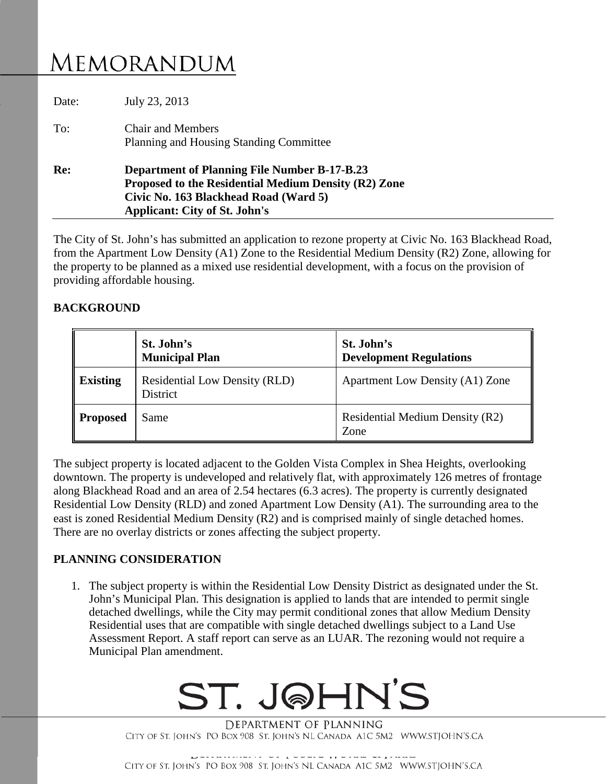## MEMORANDUM

| To:<br>Re: | <b>Chair and Members</b><br>Planning and Housing Standing Committee<br><b>Department of Planning File Number B-17-B.23</b>            |  |
|------------|---------------------------------------------------------------------------------------------------------------------------------------|--|
|            | Proposed to the Residential Medium Density (R2) Zone<br>Civic No. 163 Blackhead Road (Ward 5)<br><b>Applicant: City of St. John's</b> |  |

The City of St. John's has submitted an application to rezone property at Civic No. 163 Blackhead Road, from the Apartment Low Density (A1) Zone to the Residential Medium Density (R2) Zone, allowing for the property to be planned as a mixed use residential development, with a focus on the provision of providing affordable housing.

### **BACKGROUND**

|                 | St. John's<br><b>Municipal Plan</b>                     | St. John's<br><b>Development Regulations</b> |
|-----------------|---------------------------------------------------------|----------------------------------------------|
| <b>Existing</b> | <b>Residential Low Density (RLD)</b><br><b>District</b> | <b>Apartment Low Density (A1) Zone</b>       |
| <b>Proposed</b> | Same                                                    | Residential Medium Density (R2)<br>Zone      |

The subject property is located adjacent to the Golden Vista Complex in Shea Heights, overlooking downtown. The property is undeveloped and relatively flat, with approximately 126 metres of frontage along Blackhead Road and an area of 2.54 hectares (6.3 acres). The property is currently designated Residential Low Density (RLD) and zoned Apartment Low Density (A1). The surrounding area to the east is zoned Residential Medium Density (R2) and is comprised mainly of single detached homes. There are no overlay districts or zones affecting the subject property.

#### **PLANNING CONSIDERATION**

1. The subject property is within the Residential Low Density District as designated under the St. John's Municipal Plan. This designation is applied to lands that are intended to permit single detached dwellings, while the City may permit conditional zones that allow Medium Density Residential uses that are compatible with single detached dwellings subject to a Land Use Assessment Report. A staff report can serve as an LUAR. The rezoning would not require a Municipal Plan amendment.

# ST. J@HN'S

DEPARTMENT OF PLANNING CITY OF ST. JOHN'S PO BOX 908 ST. JOHN'S NL CANADA A1C 5M2 WWW.STJOHN'S.CA

CITY OF ST. JOHN'S PO BOX 908 ST. JOHN'S NL CANADA A1C 5M2 WWW.STJOHN'S.CA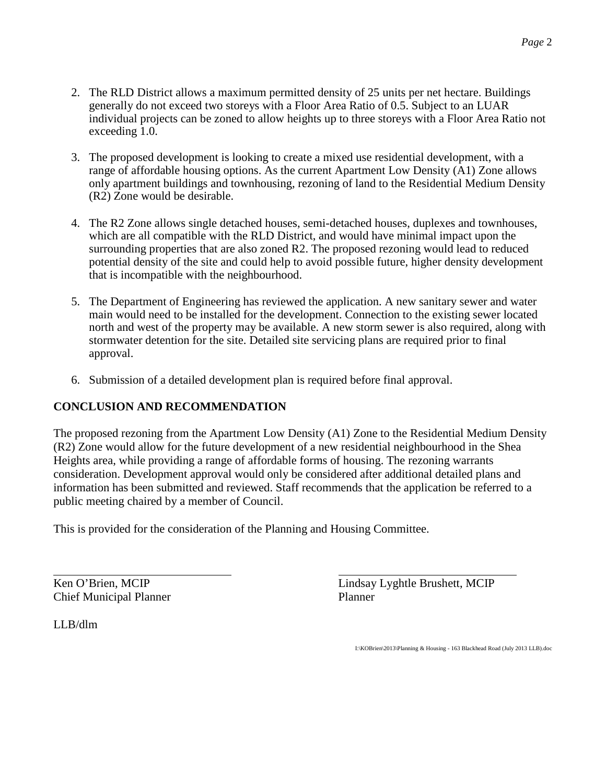- 2. The RLD District allows a maximum permitted density of 25 units per net hectare. Buildings generally do not exceed two storeys with a Floor Area Ratio of 0.5. Subject to an LUAR individual projects can be zoned to allow heights up to three storeys with a Floor Area Ratio not exceeding 1.0.
- 3. The proposed development is looking to create a mixed use residential development, with a range of affordable housing options. As the current Apartment Low Density (A1) Zone allows only apartment buildings and townhousing, rezoning of land to the Residential Medium Density (R2) Zone would be desirable.
- 4. The R2 Zone allows single detached houses, semi-detached houses, duplexes and townhouses, which are all compatible with the RLD District, and would have minimal impact upon the surrounding properties that are also zoned R2. The proposed rezoning would lead to reduced potential density of the site and could help to avoid possible future, higher density development that is incompatible with the neighbourhood.
- 5. The Department of Engineering has reviewed the application. A new sanitary sewer and water main would need to be installed for the development. Connection to the existing sewer located north and west of the property may be available. A new storm sewer is also required, along with stormwater detention for the site. Detailed site servicing plans are required prior to final approval.
- 6. Submission of a detailed development plan is required before final approval.

#### **CONCLUSION AND RECOMMENDATION**

The proposed rezoning from the Apartment Low Density (A1) Zone to the Residential Medium Density (R2) Zone would allow for the future development of a new residential neighbourhood in the Shea Heights area, while providing a range of affordable forms of housing. The rezoning warrants consideration. Development approval would only be considered after additional detailed plans and information has been submitted and reviewed. Staff recommends that the application be referred to a public meeting chaired by a member of Council.

This is provided for the consideration of the Planning and Housing Committee.

Chief Municipal Planner Planner

Ken O'Brien, MCIP Lindsay Lyghtle Brushett, MCIP

LLB/dlm

I:\KOBrien\2013\Planning & Housing - 163 Blackhead Road (July 2013 LLB).doc